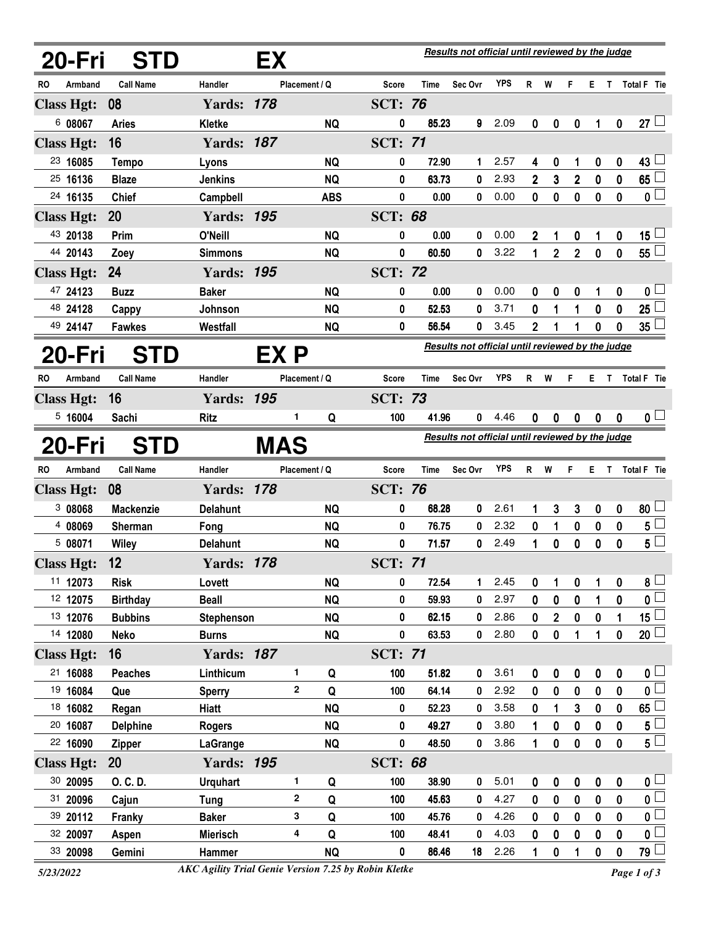| 20-Fri                             | <b>STD</b>       |                   | EХ   |                                                  |                | <b>Results not official until reviewed by the judge</b> |             |            |                                                         |                  |                |           |                  |                           |  |
|------------------------------------|------------------|-------------------|------|--------------------------------------------------|----------------|---------------------------------------------------------|-------------|------------|---------------------------------------------------------|------------------|----------------|-----------|------------------|---------------------------|--|
| Armband<br>RO                      | <b>Call Name</b> | Handler           |      | Placement / Q                                    | <b>Score</b>   | Time                                                    | Sec Ovr     | <b>YPS</b> | R                                                       | W                | F              | E.        |                  | T Total F Tie             |  |
| <b>Class Hgt:</b>                  | 08               | <b>Yards: 178</b> |      |                                                  | <b>SCT: 76</b> |                                                         |             |            |                                                         |                  |                |           |                  |                           |  |
| 6 08067                            | <b>Aries</b>     | <b>Kletke</b>     |      | <b>NQ</b>                                        | 0              | 85.23                                                   | 9           | 2.09       | 0                                                       | 0                | 0              | 1         | 0                | $27 -$                    |  |
| <b>Class Hgt:</b>                  | 16               | <b>Yards: 187</b> |      |                                                  | <b>SCT: 71</b> |                                                         |             |            |                                                         |                  |                |           |                  |                           |  |
| 23 16085                           | <b>Tempo</b>     | Lyons             |      | NQ                                               | 0              | 72.90                                                   | 1           | 2.57       | 4                                                       | 0                | 1              | 0         | 0                | 43 <sup>1</sup>           |  |
| 25 16136                           | <b>Blaze</b>     | <b>Jenkins</b>    |      | <b>NQ</b>                                        | 0              | 63.73                                                   | 0           | 2.93       | $\mathbf{2}$                                            | 3                | $\mathbf{2}$   | 0         | $\bf{0}$         | 65                        |  |
| 24 16135                           | <b>Chief</b>     | Campbell          |      | <b>ABS</b>                                       | 0              | 0.00                                                    | 0           | 0.00       | $\mathbf 0$                                             | $\pmb{0}$        | $\mathbf 0$    | 0         | 0                | 0 <sup>1</sup>            |  |
| <b>Class Hgt:</b>                  | 20               | <b>Yards: 195</b> |      |                                                  | <b>SCT: 68</b> |                                                         |             |            |                                                         |                  |                |           |                  |                           |  |
| 43 20138                           | Prim             | O'Neill           |      | <b>NQ</b>                                        | 0              | 0.00                                                    | 0           | 0.00       | 2                                                       | 1                | 0              | 1         | 0                | 15 $\lfloor$              |  |
| 44 20143                           | Zoey             | <b>Simmons</b>    |      | <b>NQ</b>                                        | 0              | 60.50                                                   | 0           | 3.22       | 1                                                       | $\overline{2}$   | $\overline{2}$ | 0         | 0                | $55^{\frac{1}{2}}$        |  |
| <b>Class Hgt:</b>                  | 24               | <b>Yards: 195</b> |      |                                                  | <b>SCT: 72</b> |                                                         |             |            |                                                         |                  |                |           |                  |                           |  |
| 47 24123                           | <b>Buzz</b>      | <b>Baker</b>      |      | <b>NQ</b>                                        | 0              | 0.00                                                    | 0           | 0.00       | 0                                                       | 0                | 0              | 1         | 0                | 0 <sub>1</sub>            |  |
| 48 24128                           | Cappy            | Johnson           |      | <b>NQ</b>                                        | 0              | 52.53                                                   | 0           | 3.71       | 0                                                       | 1                | 1              | 0         | 0                | 25                        |  |
| 49 24147                           | <b>Fawkes</b>    | Westfall          |      | <b>NQ</b>                                        | 0              | 56.54                                                   | 0           | 3.45       | 2                                                       |                  |                | 0         | 0                | 35 <sub>5</sub>           |  |
| 20-Fri                             | <b>STD</b>       |                   | EX P |                                                  |                |                                                         |             |            | <b>Results not official until reviewed by the judge</b> |                  |                |           |                  |                           |  |
| <b>RO</b><br>Armband               | <b>Call Name</b> | Handler           |      | Placement / Q                                    | <b>Score</b>   | Time                                                    | Sec Ovr     | YPS        | R.                                                      | W                | F              | E.        | T.               | <b>Total F</b> Tie        |  |
| <b>Class Hgt:</b>                  | 16               | <b>Yards: 195</b> |      |                                                  | <b>SCT: 73</b> |                                                         |             |            |                                                         |                  |                |           |                  |                           |  |
| 5,16004                            | Sachi            | <b>Ritz</b>       |      | 1<br>Q                                           | 100            | 41.96                                                   | 0           | 4.46       | 0                                                       | 0                | 0              | 0         | $\boldsymbol{0}$ | 0 <sub>1</sub>            |  |
| <b>MAS</b><br><b>STD</b><br>20-Fri |                  |                   |      | Results not official until reviewed by the judge |                |                                                         |             |            |                                                         |                  |                |           |                  |                           |  |
| Armband<br>RO                      | <b>Call Name</b> | Handler           |      | Placement / Q                                    | Score          | Time                                                    | Sec Ovr     | <b>YPS</b> | R                                                       | W                | F              | E.        | T.               | Total F Tie               |  |
| <b>Class Hgt:</b>                  | 08               | <b>Yards: 178</b> |      |                                                  | <b>SCT: 76</b> |                                                         |             |            |                                                         |                  |                |           |                  |                           |  |
| 3 08068                            | <b>Mackenzie</b> | <b>Delahunt</b>   |      | <b>NQ</b>                                        | 0              | 68.28                                                   | 0           | 2.61       | 1                                                       | 3                | 3              | 0         | 0                | $80 -$                    |  |
| 4 08069                            | <b>Sherman</b>   | Fong              |      | <b>NQ</b>                                        | 0              | 76.75                                                   | 0           | 2.32       | 0                                                       | 1                | 0              | 0         | 0                | 5                         |  |
| 5 08071                            | Wiley            | <b>Delahunt</b>   |      | <b>NQ</b>                                        | 0              | 71.57                                                   | 0           | 2.49       | 1                                                       | 0                | 0              | 0         | 0                | $5^{\degree}$             |  |
| <b>Class Hgt:</b>                  | 12               | <b>Yards: 178</b> |      |                                                  | <b>SCT: 71</b> |                                                         |             |            |                                                         |                  |                |           |                  |                           |  |
| 11 12073                           | <b>Risk</b>      | Lovett            |      | <b>NQ</b>                                        | 0              | 72.54                                                   | 1           | 2.45       | 0                                                       | 1                | 0              | 1         | 0                | $\mathbf{8}$ $\Box$       |  |
| 12 12075                           | <b>Birthday</b>  | <b>Beall</b>      |      | <b>NQ</b>                                        | 0              | 59.93                                                   | $\mathbf 0$ | 2.97       | 0                                                       | 0                | $\mathbf 0$    | 1         | 0                | $\overline{\mathbf{0}}$   |  |
| 13 12076                           | <b>Bubbins</b>   | <b>Stephenson</b> |      | <b>NQ</b>                                        | 0              | 62.15                                                   | 0           | 2.86       | 0                                                       | 2                | 0              | 0         | 1                | 15 $\lfloor$              |  |
| 14 12080                           | <b>Neko</b>      | <b>Burns</b>      |      | <b>NQ</b>                                        | 0              | 63.53                                                   | 0           | 2.80       | 0                                                       | 0                | 1              | 1         | 0                | $\overline{20}$           |  |
| <b>Class Hgt:</b>                  | 16               | <b>Yards: 187</b> |      |                                                  | <b>SCT: 71</b> |                                                         |             |            |                                                         |                  |                |           |                  |                           |  |
| 21 16088                           | <b>Peaches</b>   | Linthicum         |      | 1.<br>Q                                          | 100            | 51.82                                                   | 0           | 3.61       | 0                                                       | $\boldsymbol{0}$ | 0              | 0         | $\boldsymbol{0}$ | 0 <sub>1</sub>            |  |
| 19 16084                           | Que              | <b>Sperry</b>     |      | $\mathbf{2}$<br>Q                                | 100            | 64.14                                                   | 0           | 2.92       | 0                                                       | 0                | 0              | 0         | 0                | $\overline{\mathfrak{o}}$ |  |
| 18 16082                           | Regan            | Hiatt             |      | <b>NQ</b>                                        | 0              | 52.23                                                   | 0           | 3.58       | 0                                                       | 1                | 3              | 0         | 0                | 65                        |  |
| 20 16087                           | <b>Delphine</b>  | <b>Rogers</b>     |      | <b>NQ</b>                                        | 0              | 49.27                                                   | 0           | 3.80       | 1                                                       | $\bf{0}$         | $\bf{0}$       | $\bf{0}$  | 0                | $5\perp$                  |  |
| 22 16090                           | <b>Zipper</b>    | <b>LaGrange</b>   |      | <b>NQ</b>                                        | 0              | 48.50                                                   | 0           | 3.86       | 1                                                       | 0                | $\pmb{0}$      | 0         | 0                | $5^{\square}$             |  |
| <b>Class Hgt:</b>                  | 20               | <b>Yards: 195</b> |      |                                                  | <b>SCT: 68</b> |                                                         |             |            |                                                         |                  |                |           |                  |                           |  |
| 30 20095                           | O. C. D.         | <b>Urquhart</b>   |      | 1<br>Q                                           | 100            | 38.90                                                   | 0           | 5.01       | 0                                                       | $\bf{0}$         | $\bf{0}$       | $\pmb{0}$ | $\pmb{0}$        | $0 \sqcup$                |  |
| 31 20096                           | Cajun            | Tung              |      | $\mathbf 2$<br>Q                                 | 100            | 45.63                                                   | 0           | 4.27       | 0                                                       | 0                | 0              | 0         | 0                | $\overline{0}$            |  |
| 39 20112                           | Franky           | <b>Baker</b>      |      | 3<br>Q                                           | 100            | 45.76                                                   | 0           | 4.26       | 0                                                       | 0                | 0              | 0         | 0                | $\overline{\mathbf{0}}$   |  |
| 32 20097                           | Aspen            | <b>Mierisch</b>   |      | 4<br>Q                                           | 100            | 48.41                                                   | 0           | 4.03       | 0                                                       | 0                | 0              | 0         | 0                | $\overline{\mathbf{0}}$   |  |
| 33 20098                           | Gemini           | Hammer            |      | <b>NQ</b>                                        | 0              | 86.46                                                   | 18          | 2.26       | 1                                                       | 0                | 1              | 0         | 0                | $\overline{79}$           |  |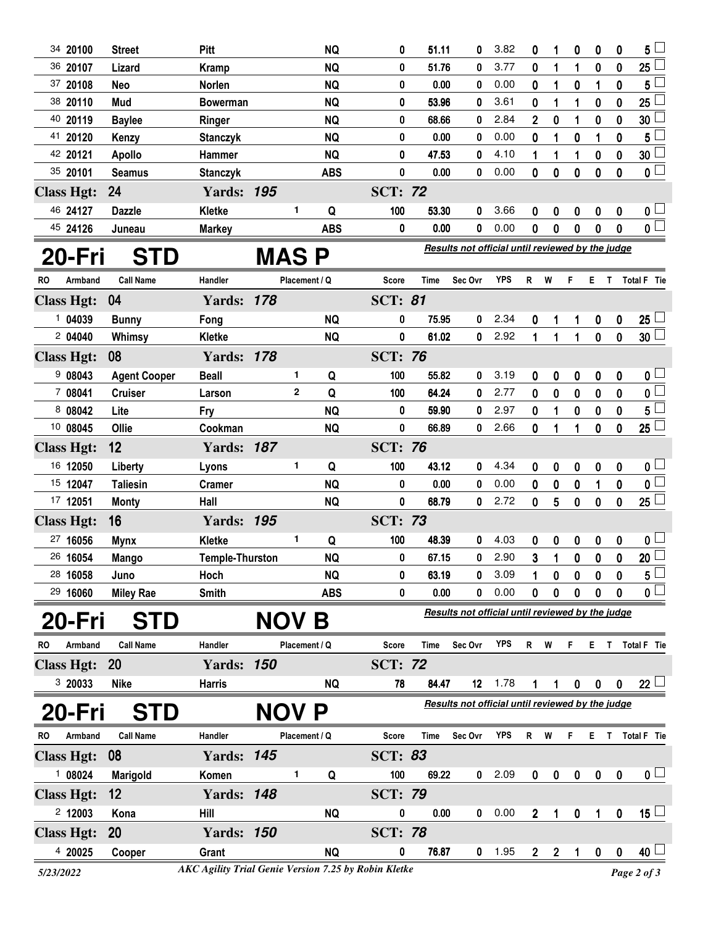| 34 20100                    | <b>Street</b>       | Pitt                                       |            |               | <b>NQ</b>              | 0                                                | 51.11                                            | 0                                                | 3.82 | 0                | 1              | 0                | 0                | 0                | 5                              |
|-----------------------------|---------------------|--------------------------------------------|------------|---------------|------------------------|--------------------------------------------------|--------------------------------------------------|--------------------------------------------------|------|------------------|----------------|------------------|------------------|------------------|--------------------------------|
| 36 20107                    | Lizard              | <b>Kramp</b>                               |            |               | <b>NQ</b>              | 0                                                | 51.76                                            | 0                                                | 3.77 | 0                | 1              | 1                | $\bf{0}$         | $\bf{0}$         | 25                             |
| 37 20108                    | <b>Neo</b>          | Norlen                                     |            |               | <b>NQ</b>              | 0                                                | 0.00                                             | 0                                                | 0.00 | 0                | 1              | 0                | 1                | 0                | 5                              |
| 38 20110                    | Mud                 | <b>Bowerman</b>                            |            |               | <b>NQ</b>              | 0                                                | 53.96                                            | 0                                                | 3.61 | 0                | 1              | 1                | $\bf{0}$         | 0                | 25                             |
| 40 20119                    | <b>Baylee</b>       | Ringer                                     |            |               | <b>NQ</b>              | 0                                                | 68.66                                            | 0                                                | 2.84 | $\mathbf 2$      | 0              | 1                | 0                | 0                | 30                             |
| 41 20120                    | Kenzy               | <b>Stanczyk</b>                            |            |               | <b>NQ</b>              | 0                                                | 0.00                                             | 0                                                | 0.00 | 0                | 1              | $\bf{0}$         | 1                | $\bf{0}$         | 5                              |
| 42 20121                    | <b>Apollo</b>       | Hammer                                     |            |               | <b>NQ</b>              | 0                                                | 47.53                                            | 0                                                | 4.10 | 1                | 1              | 1                | 0                | 0                | 30                             |
| 35 20101                    | <b>Seamus</b>       | <b>Stanczyk</b>                            |            |               | <b>ABS</b>             | $\bf{0}$                                         | 0.00                                             | 0                                                | 0.00 | $\mathbf{0}$     | $\bf{0}$       | $\mathbf{0}$     | $\bf{0}$         | $\mathbf{0}$     | $\mathbf 0$                    |
| <b>Class Hgt:</b>           | 24                  | <b>Yards: 195</b>                          |            |               |                        | <b>SCT: 72</b>                                   |                                                  |                                                  |      |                  |                |                  |                  |                  |                                |
| 46 24127                    | <b>Dazzle</b>       | Kletke                                     |            | 1             | Q                      | 100                                              | 53.30                                            | 0                                                | 3.66 | 0                | 0              | 0                | 0                | 0                | 0 <sup>1</sup>                 |
| 45 24126                    | Juneau              | <b>Markey</b>                              |            |               | <b>ABS</b>             | 0                                                | 0.00                                             | 0                                                | 0.00 | 0                | $\mathbf 0$    | $\mathbf 0$      | $\mathbf 0$      | $\mathbf{0}$     | 0 <sub>1</sub>                 |
| 20-Fri                      | <b>STD</b>          |                                            |            |               |                        |                                                  |                                                  | Results not official until reviewed by the judge |      |                  |                |                  |                  |                  |                                |
| Armband<br>RO               | <b>Call Name</b>    | MAS P<br>Handler<br>Placement / Q<br>Score |            |               |                        | Time                                             | Sec Ovr                                          | <b>YPS</b>                                       | R    | W                | F              | Е.               | $\mathsf{T}$     | Total F Tie      |                                |
|                             | 04                  | <b>Yards: 178</b>                          |            |               |                        | <b>SCT: 81</b>                                   |                                                  |                                                  |      |                  |                |                  |                  |                  |                                |
| <b>Class Hgt:</b><br>104039 |                     |                                            |            |               |                        |                                                  | 75.95                                            | 0                                                | 2.34 |                  |                |                  |                  |                  |                                |
| 204040                      | <b>Bunny</b>        | Fong                                       |            |               | <b>NQ</b><br><b>NQ</b> | 0<br>0                                           | 61.02                                            | 0                                                | 2.92 | 0<br>1           | 1              | 1<br>1           | 0<br>0           | 0<br>$\mathbf 0$ | 25<br>30 <sup>1</sup>          |
| <b>Class Hgt:</b>           | Whimsy<br>08        | <b>Kletke</b><br><b>Yards: 178</b>         |            |               |                        | <b>SCT: 76</b>                                   |                                                  |                                                  |      |                  | 1              |                  |                  |                  |                                |
|                             |                     |                                            |            | 1             |                        | 100                                              |                                                  |                                                  | 3.19 |                  |                |                  |                  |                  |                                |
| 908043                      | <b>Agent Cooper</b> | <b>Beall</b>                               |            | $\mathbf{2}$  | Q<br>Q                 | 100                                              | 55.82<br>64.24                                   | 0                                                | 2.77 | 0                | 0              | 0                | 0                | 0                | 0 <sup>1</sup>                 |
| 7 08041<br>8 08042          | <b>Cruiser</b>      | Larson                                     |            |               |                        | 0                                                | 59.90                                            | 0                                                | 2.97 | 0                | 0              | 0                | 0                | 0<br>$\mathbf 0$ | $\mathbf 0$<br>$5\overline{)}$ |
| 10 08045                    | Lite                | Fry                                        |            |               | <b>NQ</b>              |                                                  | 66.89                                            | 0                                                | 2.66 | 0                | 1              | 0                | $\bf{0}$         |                  |                                |
|                             | Ollie               | Cookman                                    |            |               | <b>NQ</b>              | 0                                                |                                                  | 0                                                |      | 0                | 1              | 1                | $\bf{0}$         | 0                | 25                             |
| <b>Class Hgt:</b>           | 12                  | <b>Yards: 187</b>                          |            |               |                        | <b>SCT: 76</b>                                   |                                                  |                                                  |      |                  |                |                  |                  |                  |                                |
| 16 12050                    | Liberty             | Lyons                                      |            | 1             | Q                      | 100                                              | 43.12                                            | 0                                                | 4.34 | 0                | $\bf{0}$       | 0                | $\bf{0}$         | $\bf{0}$         | 0 <sup>1</sup>                 |
| 15 12047                    | <b>Taliesin</b>     | Cramer                                     |            |               | <b>NQ</b>              | 0                                                | 0.00                                             | 0                                                | 0.00 | 0                | 0              | 0                | 1                | 0                | $\mathbf 0$                    |
| 17 12051                    | <b>Monty</b>        | Hall                                       |            |               | <b>NQ</b>              | $\bf{0}$                                         | 68.79                                            | 0                                                | 2.72 | 0                | 5              | $\mathbf{0}$     | $\mathbf 0$      | 0                | 25 <sup>1</sup>                |
| <b>Class Hgt:</b>           | 16                  | <b>Yards: 195</b>                          |            |               |                        | <b>SCT: 73</b>                                   |                                                  |                                                  |      |                  |                |                  |                  |                  |                                |
| 27 16056                    | <b>Mynx</b>         | <b>Kletke</b>                              |            | 1             | Q                      | 100                                              | 48.39                                            | 0                                                | 4.03 | 0                | 0              | 0                | 0                | 0                | 0 <sup>1</sup>                 |
| 26 16054                    | <b>Mango</b>        | <b>Temple-Thurston</b>                     |            |               | <b>NQ</b>              | 0                                                | 67.15                                            | 0                                                | 2.90 | 3                | 1              | $\mathbf 0$      | $\mathbf 0$      | $\mathbf 0$      | 20                             |
| 28 16058                    | Juno                | Hoch                                       |            |               | <b>NQ</b>              | 0                                                | 63.19                                            | 0                                                | 3.09 |                  | 0              | 0                | 0                | 0                | 5                              |
| 29 16060                    | <b>Miley Rae</b>    | Smith                                      |            |               | <b>ABS</b>             | 0                                                | 0.00                                             | 0                                                | 0.00 | 0                | 0              | 0                | $\mathbf 0$      | 0                | $0\perp$                       |
| 20-Fri                      | <b>STD</b>          |                                            | <b>NOV</b> |               | B                      |                                                  | Results not official until reviewed by the judge |                                                  |      |                  |                |                  |                  |                  |                                |
| Armband<br><b>RO</b>        | <b>Call Name</b>    | Handler                                    |            | Placement / Q |                        | <b>Score</b>                                     | <b>Time</b>                                      | Sec Ovr                                          | YPS  | $\mathsf{R}$     | W              | F                | E T              |                  | Total F Tie                    |
| <b>Class Hgt:</b>           | 20                  | <b>Yards: 150</b>                          |            |               |                        | <b>SCT: 72</b>                                   |                                                  |                                                  |      |                  |                |                  |                  |                  |                                |
| 3 20033                     | <b>Nike</b>         | <b>Harris</b>                              |            |               | <b>NQ</b>              | 78                                               | 84.47                                            | 12                                               | 1.78 | 1                | 1              | 0                | $\boldsymbol{0}$ | $\mathbf 0$      | 22 <sup>1</sup>                |
| 20-Fri                      | <b>STD</b>          |                                            | <b>NOV</b> |               | P                      | Results not official until reviewed by the judge |                                                  |                                                  |      |                  |                |                  |                  |                  |                                |
| Armband<br><b>RO</b>        | <b>Call Name</b>    | Handler                                    |            | Placement / Q |                        | <b>Score</b>                                     | Time                                             | Sec Ovr                                          | YPS  | R W              |                | F.               |                  |                  | E T Total F Tie                |
| <b>Class Hgt:</b>           | 08                  | <b>Yards: 145</b>                          |            |               |                        | <b>SCT: 83</b>                                   |                                                  |                                                  |      |                  |                |                  |                  |                  |                                |
| 1 08024                     | Marigold            | Komen                                      |            | 1             | Q                      | 100                                              | 69.22                                            | 0                                                | 2.09 | 0                | 0              | $\boldsymbol{0}$ | $\boldsymbol{0}$ | 0                | 0 <sub>1</sub>                 |
|                             |                     |                                            |            |               |                        |                                                  |                                                  |                                                  |      |                  |                |                  |                  |                  |                                |
| <b>Class Hgt:</b>           | 12                  | <b>Yards: 148</b>                          |            |               |                        | <b>SCT: 79</b>                                   |                                                  |                                                  |      |                  |                |                  |                  |                  |                                |
| 2 12003                     | Kona                | Hill                                       |            |               | <b>NQ</b>              | 0                                                | 0.00                                             | 0                                                | 0.00 | $\boldsymbol{2}$ | 1              | 0                | 1                | 0                | $15\sqcup$                     |
| <b>Class Hgt:</b>           | 20                  | <b>Yards: 150</b>                          |            |               |                        | <b>SCT: 78</b>                                   |                                                  |                                                  |      |                  |                |                  |                  |                  |                                |
| 4 20025                     | Cooper              | Grant                                      |            |               | $\sf{NQ}$              | 0                                                | 76.87                                            | 0                                                | 1.95 | $\overline{2}$   | $\overline{2}$ | $\mathbf{1}$     | $\mathbf 0$      | $\mathbf 0$      | $40\perp$                      |